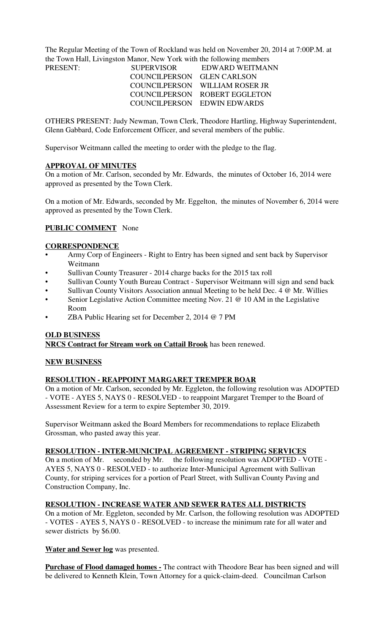The Regular Meeting of the Town of Rockland was held on November 20, 2014 at 7:00P.M. at the Town Hall, Livingston Manor, New York with the following members PRESENT:

| PRESENT: | <b>SUPERVISOR</b>          | – EDWARD WEITMANI              |
|----------|----------------------------|--------------------------------|
|          | COUNCILPERSON GLEN CARLSON |                                |
|          |                            | COUNCILPERSON WILLIAM ROSER JR |
|          |                            | COUNCILPERSON ROBERT EGGLETON  |
|          |                            | COUNCILPERSON EDWIN EDWARDS    |

OTHERS PRESENT: Judy Newman, Town Clerk, Theodore Hartling, Highway Superintendent, Glenn Gabbard, Code Enforcement Officer, and several members of the public.

Supervisor Weitmann called the meeting to order with the pledge to the flag.

#### **APPROVAL OF MINUTES**

On a motion of Mr. Carlson, seconded by Mr. Edwards, the minutes of October 16, 2014 were approved as presented by the Town Clerk.

On a motion of Mr. Edwards, seconded by Mr. Eggelton, the minutes of November 6, 2014 were approved as presented by the Town Clerk.

# **PUBLIC COMMENT** None

#### **CORRESPONDENCE**

- Army Corp of Engineers Right to Entry has been signed and sent back by Supervisor Weitmann
- Sullivan County Treasurer 2014 charge backs for the 2015 tax roll
- Sullivan County Youth Bureau Contract Supervisor Weitmann will sign and send back
- Sullivan County Visitors Association annual Meeting to be held Dec. 4 @ Mr. Willies
- Senior Legislative Action Committee meeting Nov. 21 @ 10 AM in the Legislative Room
- ZBA Public Hearing set for December 2, 2014 @ 7 PM

#### **OLD BUSINESS**

**NRCS Contract for Stream work on Cattail Brook** has been renewed.

# **NEW BUSINESS**

# **RESOLUTION - REAPPOINT MARGARET TREMPER BOAR**

On a motion of Mr. Carlson, seconded by Mr. Eggleton, the following resolution was ADOPTED - VOTE - AYES 5, NAYS 0 - RESOLVED - to reappoint Margaret Tremper to the Board of Assessment Review for a term to expire September 30, 2019.

Supervisor Weitmann asked the Board Members for recommendations to replace Elizabeth Grossman, who pasted away this year.

# **RESOLUTION - INTER-MUNICIPAL AGREEMENT - STRIPING SERVICES**

On a motion of Mr. seconded by Mr. the following resolution was ADOPTED - VOTE - AYES 5, NAYS 0 - RESOLVED - to authorize Inter-Municipal Agreement with Sullivan County, for striping services for a portion of Pearl Street, with Sullivan County Paving and Construction Company, Inc.

#### **RESOLUTION - INCREASE WATER AND SEWER RATES ALL DISTRICTS**

On a motion of Mr. Eggleton, seconded by Mr. Carlson, the following resolution was ADOPTED - VOTES - AYES 5, NAYS 0 - RESOLVED - to increase the minimum rate for all water and sewer districts by \$6.00.

#### **Water and Sewer log** was presented.

**Purchase of Flood damaged homes -** The contract with Theodore Bear has been signed and will be delivered to Kenneth Klein, Town Attorney for a quick-claim-deed. Councilman Carlson